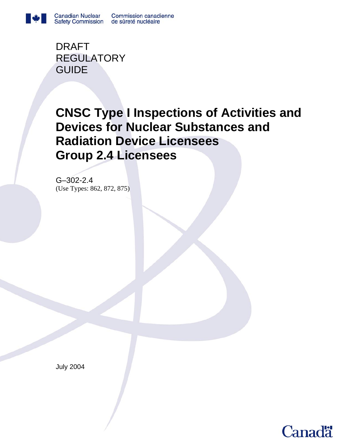

DRAFT REGULATORY GUIDE

# **CNSC Type I Inspections of Activities and Devices for Nuclear Substances and Radiation Device Licensees Group 2.4 Licensees**

G–302-2.4 (Use Types: 862, 872, 875)

July 2004

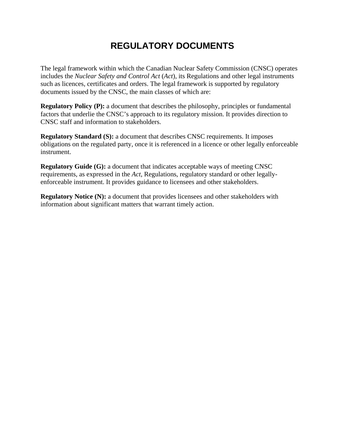## **REGULATORY DOCUMENTS**

The legal framework within which the Canadian Nuclear Safety Commission (CNSC) operates includes the *Nuclear Safety and Control Act* (*Act*), its Regulations and other legal instruments such as licences, certificates and orders. The legal framework is supported by regulatory documents issued by the CNSC, the main classes of which are:

**Regulatory Policy (P):** a document that describes the philosophy, principles or fundamental factors that underlie the CNSC's approach to its regulatory mission. It provides direction to CNSC staff and information to stakeholders.

**Regulatory Standard (S):** a document that describes CNSC requirements. It imposes obligations on the regulated party, once it is referenced in a licence or other legally enforceable instrument.

**Regulatory Guide (G):** a document that indicates acceptable ways of meeting CNSC requirements, as expressed in the *Act*, Regulations, regulatory standard or other legallyenforceable instrument. It provides guidance to licensees and other stakeholders.

**Regulatory Notice (N):** a document that provides licensees and other stakeholders with information about significant matters that warrant timely action.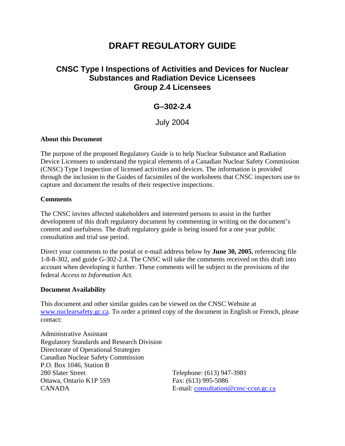## **DRAFT REGULATORY GUIDE**

## **CNSC Type I Inspections of Activities and Devices for Nuclear Substances and Radiation Device Licensees Group 2.4 Licensees**

## **G–302-2.4**

July 2004

#### **About this Document**

The purpose of the proposed Regulatory Guide is to help Nuclear Substance and Radiation Device Licensees to understand the typical elements of a Canadian Nuclear Safety Commission (CNSC) Type I inspection of licensed activities and devices. The information is provided through the inclusion in the Guides of facsimiles of the worksheets that CNSC inspectors use to capture and document the results of their respective inspections.

#### **Comments**

The CNSC invites affected stakeholders and interested persons to assist in the further development of this draft regulatory document by commenting in writing on the document's content and usefulness. The draft regulatory guide is being issued for a one year public consultation and trial use period.

Direct your comments to the postal or e-mail address below by **June 30, 2005**, referencing file 1-8-8-302, and guide G-302-2.4. The CNSC will take the comments received on this draft into account when developing it further. These comments will be subject to the provisions of the federal *Access to Information Act.* 

#### **Document Availability**

This document and other similar guides can be viewed on the CNSC Website at [www.nuclearsafety.gc.ca.](http://www.nuclearsafety.gc.ca/) To order a printed copy of the document in English or French, please contact:

Administrative Assistant Regulatory Standards and Research Division Directorate of Operational Strategies Canadian Nuclear Safety Commission P.O. Box 1046, Station B 280 Slater Street Telephone: (613) 947-3981 Ottawa, Ontario K1P 5S9 Fax: (613) 995-5086 CANADA E-mail: [consultation@cnsc-ccsn.gc.ca](mailto:consultation@cnsc-ccsn.gc.ca)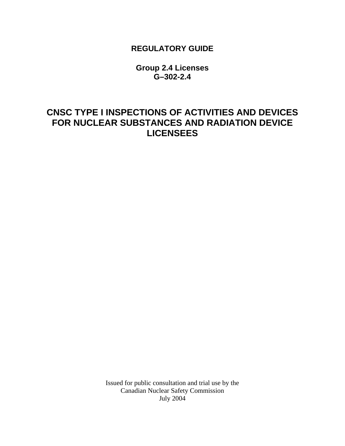## **REGULATORY GUIDE**

**Group 2.4 Licenses G–302-2.4** 

## **CNSC TYPE I INSPECTIONS OF ACTIVITIES AND DEVICES FOR NUCLEAR SUBSTANCES AND RADIATION DEVICE LICENSEES**

Issued for public consultation and trial use by the Canadian Nuclear Safety Commission July 2004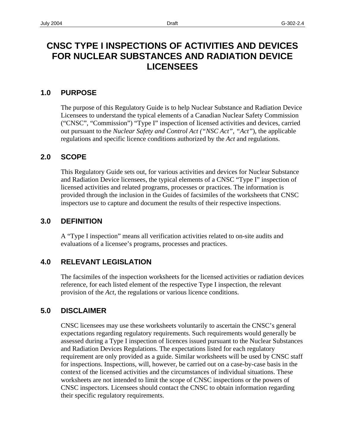## **CNSC TYPE I INSPECTIONS OF ACTIVITIES AND DEVICES FOR NUCLEAR SUBSTANCES AND RADIATION DEVICE LICENSEES**

#### **1.0 PURPOSE**

The purpose of this Regulatory Guide is to help Nuclear Substance and Radiation Device Licensees to understand the typical elements of a Canadian Nuclear Safety Commission ("CNSC", "Commission") "Type I" inspection of licensed activities and devices, carried out pursuant to the *Nuclear Safety and Control Act ("NSC Act", "Act"*), the applicable regulations and specific licence conditions authorized by the *Act* and regulations.

### **2.0 SCOPE**

This Regulatory Guide sets out, for various activities and devices for Nuclear Substance and Radiation Device licensees, the typical elements of a CNSC "Type I" inspection of licensed activities and related programs, processes or practices. The information is provided through the inclusion in the Guides of facsimiles of the worksheets that CNSC inspectors use to capture and document the results of their respective inspections.

#### **3.0 DEFINITION**

A "Type I inspection" means all verification activities related to on-site audits and evaluations of a licensee's programs, processes and practices.

### **4.0 RELEVANT LEGISLATION**

The facsimiles of the inspection worksheets for the licensed activities or radiation devices reference, for each listed element of the respective Type I inspection, the relevant provision of the *Act*, the regulations or various licence conditions.

#### **5.0 DISCLAIMER**

CNSC licensees may use these worksheets voluntarily to ascertain the CNSC's general expectations regarding regulatory requirements. Such requirements would generally be assessed during a Type I inspection of licences issued pursuant to the Nuclear Substances and Radiation Devices Regulations. The expectations listed for each regulatory requirement are only provided as a guide. Similar worksheets will be used by CNSC staff for inspections. Inspections, will, however, be carried out on a case-by-case basis in the context of the licensed activities and the circumstances of individual situations. These worksheets are not intended to limit the scope of CNSC inspections or the powers of CNSC inspectors. Licensees should contact the CNSC to obtain information regarding their specific regulatory requirements.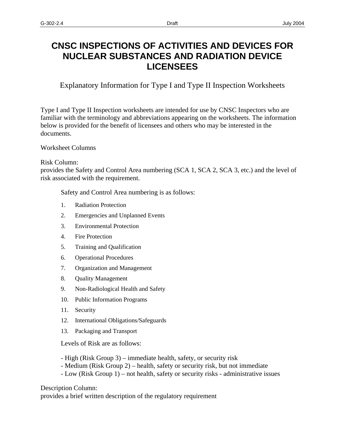## **CNSC INSPECTIONS OF ACTIVITIES AND DEVICES FOR NUCLEAR SUBSTANCES AND RADIATION DEVICE LICENSEES**

Explanatory Information for Type I and Type II Inspection Worksheets

Type I and Type II Inspection worksheets are intended for use by CNSC Inspectors who are familiar with the terminology and abbreviations appearing on the worksheets. The information below is provided for the benefit of licensees and others who may be interested in the documents.

#### Worksheet Columns

#### Risk Column:

provides the Safety and Control Area numbering (SCA 1, SCA 2, SCA 3, etc.) and the level of risk associated with the requirement.

Safety and Control Area numbering is as follows:

- 1. Radiation Protection
- 2. Emergencies and Unplanned Events
- 3. Environmental Protection
- 4. Fire Protection
- 5. Training and Qualification
- 6. Operational Procedures
- 7. Organization and Management
- 8. Quality Management
- 9. Non-Radiological Health and Safety
- 10. Public Information Programs
- 11. Security
- 12. International Obligations/Safeguards
- 13. Packaging and Transport

Levels of Risk are as follows:

- High (Risk Group 3) immediate health, safety, or security risk
- Medium (Risk Group 2) health, safety or security risk, but not immediate
- Low (Risk Group 1) not health, safety or security risks administrative issues

Description Column:

provides a brief written description of the regulatory requirement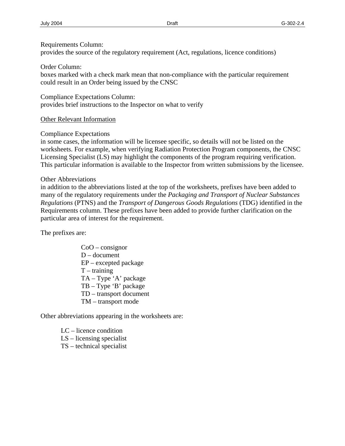#### Requirements Column:

provides the source of the regulatory requirement (Act, regulations, licence conditions)

Order Column:

boxes marked with a check mark mean that non-compliance with the particular requirement could result in an Order being issued by the CNSC

Compliance Expectations Column: provides brief instructions to the Inspector on what to verify

Other Relevant Information

Compliance Expectations

 This particular information is available to the Inspector from written submissions by the licensee. Other Abbreviations in some cases, the information will be licensee specific, so details will not be listed on the worksheets. For example, when verifying Radiation Protection Program components, the CNSC Licensing Specialist (LS) may highlight the components of the program requiring verification.

in addition to the abbreviations listed at the top of the worksheets, prefixes have been added to many of the regulatory requirements under the *Packaging and Transport of Nuclear Substances Regulations* (PTNS) and the *Transport of Dangerous Goods Regulations* (TDG) identified in the Requirements column. These prefixes have been added to provide further clarification on the particular area of interest for the requirement.

The prefixes are:

CoO – consignor D – document EP – excepted package  $T - training$ TA – Type 'A' package TB – Type 'B' package TD – transport document TM – transport mode

Other abbreviations appearing in the worksheets are:

LC – licence condition LS – licensing specialist TS – technical specialist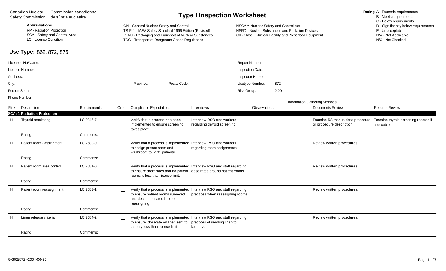Canadian Nuclear Commission canadienne Canadian Nuclear Commission canadienne<br>
Safety Commission de sûreté nucléaire<br> **Rating A - Exceeds requirements**<br>
B - Meets requirements

### **Use Type:** 862, 872, 875

**Abbreviations** GN - General Nuclear Safety and Control NSCA = Nuclear Safety and Control Act D - Significantly below requirements RP - Radiation Protection **TS-R-1 - IAEA Safety Standard 1996 Edition** (Revised) NSRD - Nuclear Substances and Radiation Devices E - Unacceptable<br>SCA - Safety and Control Area **Standard Standard Protect Constances** Ellecta SCA - Safety and Control Area **PTNS - Packaging and Transport of Nuclear Substances** CII - Class II Nuclear Facillity and Prescribed Equipment N/A - Not Applicable C. Not Applicable C. Not Checked Condition N/A - Not Check TDG - Transport of Dangerous Goods Regulations

|              | Licensee No/Name:                  |              |              |                                                                                   |              |                                                                                                                                                | Report Number:   |      |                                                                |                                                     |
|--------------|------------------------------------|--------------|--------------|-----------------------------------------------------------------------------------|--------------|------------------------------------------------------------------------------------------------------------------------------------------------|------------------|------|----------------------------------------------------------------|-----------------------------------------------------|
|              | Licence Number:                    |              |              |                                                                                   |              |                                                                                                                                                | Inspection Date: |      |                                                                |                                                     |
| Address:     |                                    |              |              |                                                                                   |              |                                                                                                                                                | Inspector Name:  |      |                                                                |                                                     |
| City:        |                                    |              |              | Province:                                                                         | Postal Code: |                                                                                                                                                | Usetype Number:  | 872  |                                                                |                                                     |
| Person Seen: |                                    |              |              |                                                                                   |              | Risk Group:                                                                                                                                    |                  | 2.00 |                                                                |                                                     |
|              | Phone Number:                      |              |              |                                                                                   |              |                                                                                                                                                |                  |      |                                                                |                                                     |
|              |                                    |              |              |                                                                                   |              |                                                                                                                                                |                  |      | Information Gathering Methods                                  |                                                     |
| Risk         | Description                        | Requirements | Order        | <b>Compliance Expectations</b>                                                    |              | Interviews                                                                                                                                     | Observations     |      | <b>Documents Review</b>                                        | <b>Records Review</b>                               |
|              | <b>SCA: 1 Radiation Protection</b> |              |              |                                                                                   |              |                                                                                                                                                |                  |      |                                                                |                                                     |
| H.           | Thyroid monitoring                 | LC 2046-7    | $\mathbf{I}$ | Verify that a process has been<br>implemented to ensure screening<br>takes place. |              | Interview RSO and workers<br>regarding thyroid screening.                                                                                      |                  |      | Examine RS manual for a procedure<br>or procedure description. | Examine thyroid screening records if<br>applicable. |
|              | Rating:                            | Comments:    |              |                                                                                   |              |                                                                                                                                                |                  |      |                                                                |                                                     |
| H            | Patient room - assignment          | LC 2580-0    | $\mathbf{I}$ | to assign private room and<br>washroom to I-131 patients.                         |              | Verify that a process is implemented Interview RSO and workers<br>regarding room assignments                                                   |                  |      | Review written procedures.                                     |                                                     |
|              | Rating:                            | Comments:    |              |                                                                                   |              |                                                                                                                                                |                  |      |                                                                |                                                     |
|              | Patient room area control          | LC 2581-0    | $\Box$       | rooms is less than license limit.                                                 |              | Verify that a process is implemented Interview RSO and staff regarding<br>to ensure dose rates around patient dose rates around patient rooms. |                  |      | Review written procedures.                                     |                                                     |
|              | Rating:                            | Comments:    |              |                                                                                   |              |                                                                                                                                                |                  |      |                                                                |                                                     |
| н            | Patient room reassignment          | LC 2583-1    | $\mathsf{L}$ | to ensure patient rooms surveyed<br>and decontaminated before<br>reassigning.     |              | Verify that a process is implemented Interview RSO and staff regarding<br>practices when reassigning rooms.                                    |                  |      | Review written procedures.                                     |                                                     |
|              | Rating:                            | Comments:    |              |                                                                                   |              |                                                                                                                                                |                  |      |                                                                |                                                     |
|              | Linen release criteria             | LC 2584-2    | $\Box$       | to ensure doserate on linen sent to<br>laundry less than licence limit.           |              | Verify that a process is implemented Interview RSO and staff regarding<br>practices of sending linen to<br>laundry.                            |                  |      | Review written procedures.                                     |                                                     |
|              | Rating:                            | Comments:    |              |                                                                                   |              |                                                                                                                                                |                  |      |                                                                |                                                     |
|              |                                    |              |              |                                                                                   |              |                                                                                                                                                |                  |      |                                                                |                                                     |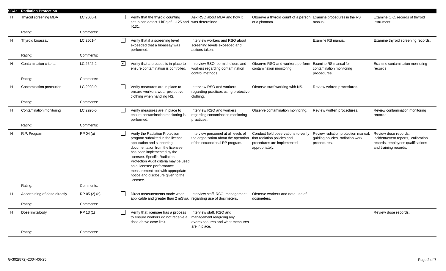|   | <b>SCA: 1 Radiation Protection</b> |               |                 |                                                                                                                                                                                                                                                                                                                                                                    |                                                                                                                 |                                                                                                                     |                                                                                        |                                                                                                                           |
|---|------------------------------------|---------------|-----------------|--------------------------------------------------------------------------------------------------------------------------------------------------------------------------------------------------------------------------------------------------------------------------------------------------------------------------------------------------------------------|-----------------------------------------------------------------------------------------------------------------|---------------------------------------------------------------------------------------------------------------------|----------------------------------------------------------------------------------------|---------------------------------------------------------------------------------------------------------------------------|
| н | Thyroid screening MDA              | LC 2600-1     |                 | Verify that the thyroid counting<br>setup can detect 1 kBq of 1-125 and was determined.<br>$1-131.$                                                                                                                                                                                                                                                                | Ask RSO about MDA and how it                                                                                    | Observe a thyroid count of a person Examine procedures in the RS<br>or a phantom.                                   | manual.                                                                                | Examine Q.C. records of thyroid<br>instrument.                                                                            |
|   | Rating:                            | Comments:     |                 |                                                                                                                                                                                                                                                                                                                                                                    |                                                                                                                 |                                                                                                                     |                                                                                        |                                                                                                                           |
| H | Thyroid bioassay                   | LC 2601-4     |                 | Verify that if a screening level<br>exceeded that a bioassay was<br>performed.                                                                                                                                                                                                                                                                                     | Interview workers and RSO about<br>screening levels exceeded and<br>actions taken.                              |                                                                                                                     | Examine RS manual.                                                                     | Examine thyroid screening records.                                                                                        |
|   | Rating:                            | Comments:     |                 |                                                                                                                                                                                                                                                                                                                                                                    |                                                                                                                 |                                                                                                                     |                                                                                        |                                                                                                                           |
| H | Contamination criteria             | LC 2642-2     | $\triangledown$ | Verify that a process is in place to<br>ensure contamination is controlled.                                                                                                                                                                                                                                                                                        | Interview RSO, permit holders and<br>workers regarding contamination<br>control methods.                        | Observe RSO and workers perform Examine RS manual for<br>contamination monitoring.                                  | contamination monitoring<br>procedures.                                                | Examine contamination monitoring<br>records.                                                                              |
|   | Rating:                            | Comments:     |                 |                                                                                                                                                                                                                                                                                                                                                                    |                                                                                                                 |                                                                                                                     |                                                                                        |                                                                                                                           |
| H | Contamination precaution           | LC 2920-0     |                 | Verify measures are in place to<br>ensure workers wear protective<br>clothing when handling NS.                                                                                                                                                                                                                                                                    | Interview RSO and workers<br>regarding practices using protective<br>clothing.                                  | Observe staff working with NS.                                                                                      | Review written procedures.                                                             |                                                                                                                           |
|   | Rating:                            | Comments:     |                 |                                                                                                                                                                                                                                                                                                                                                                    |                                                                                                                 |                                                                                                                     |                                                                                        |                                                                                                                           |
| Н | Contamination monitoring           | LC 2920-0     |                 | Verify measures are in place to<br>ensure contamination monitoring is<br>performed.                                                                                                                                                                                                                                                                                | Interview RSO and workers<br>regarding contamination monitoring<br>practices.                                   | Observe contamination monitoring.                                                                                   | Review written procedures.                                                             | Review contamination monitoring<br>records.                                                                               |
|   | Rating:                            | Comments:     |                 |                                                                                                                                                                                                                                                                                                                                                                    |                                                                                                                 |                                                                                                                     |                                                                                        |                                                                                                                           |
| H | R.P. Program                       | RP 04 (a)     |                 | Verify the Radiation Protection<br>program submitted in the licence<br>application and supporting<br>documentation from the licensee,<br>has been implemented by the<br>licensee. Specific Radiation<br>Protection Audit criteria may be used<br>as a licensee performance<br>measurement tool with appropriate<br>notice and disclosure given to the<br>licensee. | Interview personnel at all levels of<br>the organization about the operation<br>of the occupational RP program. | Conduct field observations to verify<br>that radiation policies and<br>procedures are implemented<br>appropriately. | Review radiation protection manual,<br>guiding policies, radiation work<br>procedures. | Review dose records,<br>incident/event reports, calibration<br>records, employees qualifications<br>and training records. |
|   | Rating:                            | Comments:     |                 |                                                                                                                                                                                                                                                                                                                                                                    |                                                                                                                 |                                                                                                                     |                                                                                        |                                                                                                                           |
| H | Ascertaining of dose directly      | RP 05 (2) (a) |                 | Direct measurements made when<br>applicable and greater than 2 mSv/a. regarding use of dosimeters.                                                                                                                                                                                                                                                                 | Interview staff, RSO, management                                                                                | Observe workers and note use of<br>dosimeters.                                                                      |                                                                                        |                                                                                                                           |
|   | Rating:                            | Comments:     |                 |                                                                                                                                                                                                                                                                                                                                                                    |                                                                                                                 |                                                                                                                     |                                                                                        |                                                                                                                           |
| H | Dose limits/body                   | RP 13 (1)     |                 | Verify that licensee has a process<br>to ensure workers do not receive a<br>dose above dose limit.                                                                                                                                                                                                                                                                 | Interview staff, RSO and<br>management reagrding any<br>overexposures and what measures<br>are in place.        |                                                                                                                     |                                                                                        | Review dose records.                                                                                                      |
|   | Rating:                            | Comments:     |                 |                                                                                                                                                                                                                                                                                                                                                                    |                                                                                                                 |                                                                                                                     |                                                                                        |                                                                                                                           |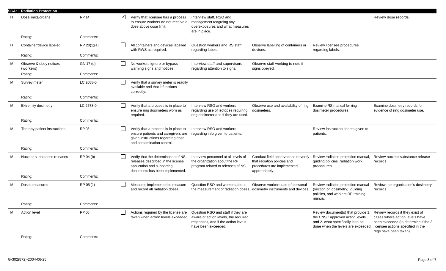|   | <b>SCA: 1 Radiation Protection</b>  |              |                      |                                                                                                                                               |                                                                                                                                          |                                                                                                                     |                                                                                                                                                   |                                                                                                                                                                          |
|---|-------------------------------------|--------------|----------------------|-----------------------------------------------------------------------------------------------------------------------------------------------|------------------------------------------------------------------------------------------------------------------------------------------|---------------------------------------------------------------------------------------------------------------------|---------------------------------------------------------------------------------------------------------------------------------------------------|--------------------------------------------------------------------------------------------------------------------------------------------------------------------------|
|   | Dose limits/organs                  | <b>RP 14</b> | $\blacktriangledown$ | Verify that licensee has a process<br>to ensure workers do not receive a<br>dose above dose limit.                                            | Interview staff, RSO and<br>management reagrding any<br>overexposures and what measures<br>are in place.                                 |                                                                                                                     |                                                                                                                                                   | Review dose records.                                                                                                                                                     |
|   | Rating:                             | Comments:    |                      |                                                                                                                                               |                                                                                                                                          |                                                                                                                     |                                                                                                                                                   |                                                                                                                                                                          |
| H | Container/device labeled            | RP 20(1)(a)  | $\Box$               | All containers and devices labelled<br>with RWS as required.                                                                                  | Question workers and RS staff<br>regarding labels.                                                                                       | Observe labelling of containers or<br>devices.                                                                      | Review licensee procedures<br>regarding labels.                                                                                                   |                                                                                                                                                                          |
|   | Rating:                             | Comments:    |                      |                                                                                                                                               |                                                                                                                                          |                                                                                                                     |                                                                                                                                                   |                                                                                                                                                                          |
| м | Observe & obey notices<br>(workers) | GN 17 (d)    | $\Box$               | No workers ignore or bypass<br>warning signs and notices.                                                                                     | Interview staff and supervisors<br>regarding attention to signs.                                                                         | Observe staff working to note if<br>signs obeyed.                                                                   |                                                                                                                                                   |                                                                                                                                                                          |
|   | Rating:                             | Comments:    |                      |                                                                                                                                               |                                                                                                                                          |                                                                                                                     |                                                                                                                                                   |                                                                                                                                                                          |
| м | Survey meter                        | LC 2058-0    | $\Box$               | Verify that a survey meter is readily<br>available and that it functions<br>correctly.                                                        |                                                                                                                                          |                                                                                                                     |                                                                                                                                                   |                                                                                                                                                                          |
|   | Rating:                             | Comments:    |                      |                                                                                                                                               |                                                                                                                                          |                                                                                                                     |                                                                                                                                                   |                                                                                                                                                                          |
| м | <b>Extremity dosimetry</b>          | LC 2578-0    | $\mathsf{L}$         | Verify that a process is in place to<br>ensure ring dosimeters worn as<br>required.                                                           | Interview RSO and workers<br>regarding use of isotopes requiring<br>ring dosimeter and if they are used.                                 | Observe use and availability of ring<br>dosimeters.                                                                 | Examine RS manual for ring<br>dosimeter procedures.                                                                                               | Examine dosimetry records for<br>evidence of ring dosimeter use.                                                                                                         |
|   | Rating:                             | Comments:    |                      |                                                                                                                                               |                                                                                                                                          |                                                                                                                     |                                                                                                                                                   |                                                                                                                                                                          |
| M | Therapy patient instructions        | RP 03        | $\Box$               | Verify that a process is in place to<br>ensure patients and caregivers are<br>given instructions regarding dose<br>and contamination control. | Interview RSO and workers<br>regarding info given to patients.                                                                           |                                                                                                                     | Review instruction sheets given to<br>patients.                                                                                                   |                                                                                                                                                                          |
|   | Rating:                             | Comments:    |                      |                                                                                                                                               |                                                                                                                                          |                                                                                                                     |                                                                                                                                                   |                                                                                                                                                                          |
| м | Nuclear substances releases         | RP 04 (b)    | $\Box$               | Verify that the determination of NS<br>releases described in the license<br>application and supporting<br>documents has been implemented.     | Interview personnel at all levels of<br>the organization about the RP<br>program related to releases of NS.                              | Conduct field observations to verify<br>that radiation policies and<br>procedures are implemented<br>appropriately. | Review radiation protection manual,<br>guiding policies, radiation work<br>procedures.                                                            | Review nuclear substance release<br>records.                                                                                                                             |
|   | Rating:                             | Comments:    |                      |                                                                                                                                               |                                                                                                                                          |                                                                                                                     |                                                                                                                                                   |                                                                                                                                                                          |
| M | Doses measured                      | RP 05 (1)    | $\Box$               | Measures implemented to measure<br>and record all radiation doses.                                                                            | Question RSO and workers about<br>the measurement of radiation doses. dosimetry instruments and devices.                                 | Observe workers use of personal                                                                                     | Review radiation protection manual<br>(section on dosimetry), guiding<br>policies, and workers RP training<br>manual.                             | Review the organization's dosimetry<br>records.                                                                                                                          |
|   | Rating:                             | Comments:    |                      |                                                                                                                                               |                                                                                                                                          |                                                                                                                     |                                                                                                                                                   |                                                                                                                                                                          |
| M | <b>Action level</b>                 | <b>RP 06</b> | $\Box$               | Actions required by the license are<br>taken when action levels exceeded.                                                                     | Question RSO and staff if they are<br>aware of action levels, the required<br>responses, and if the action levels<br>have been exceeded. |                                                                                                                     | Review document(s) that provide 1.<br>the CNSC approved action levels,<br>and 2. what specifically is to be<br>done when the levels are exceeded. | Review records if they exist of<br>cases where action levels have<br>been exceeded (to determine if the 3<br>licensee actions specified in the<br>regs have been taken). |
|   | Rating:                             | Comments:    |                      |                                                                                                                                               |                                                                                                                                          |                                                                                                                     |                                                                                                                                                   |                                                                                                                                                                          |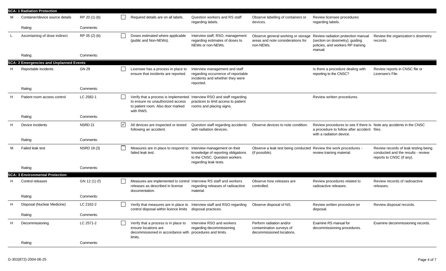|   | <b>SCA: 1 Radiation Protection</b>             |                    |                      |                                                                                                                                                              |                                                                                                                               |                                                                                                                         |                                                                                                                                                |                                                                                                         |
|---|------------------------------------------------|--------------------|----------------------|--------------------------------------------------------------------------------------------------------------------------------------------------------------|-------------------------------------------------------------------------------------------------------------------------------|-------------------------------------------------------------------------------------------------------------------------|------------------------------------------------------------------------------------------------------------------------------------------------|---------------------------------------------------------------------------------------------------------|
|   | Container/device source details                | RP 20 (1) (b)      |                      | Required details are on all labels.                                                                                                                          | Question workers and RS staff<br>regarding labels.                                                                            | Observe labelling of containers or<br>devices.                                                                          | Review licensee procedures<br>regarding labels.                                                                                                |                                                                                                         |
|   | Rating:                                        | Comments:          |                      |                                                                                                                                                              |                                                                                                                               |                                                                                                                         |                                                                                                                                                |                                                                                                         |
|   | Ascertaining of dose indirect                  | RP 05 (2) (b)      |                      | Doses estimated where applicable<br>(public and Non-NEWs).                                                                                                   | Interview staff, RSO, management<br>regarding estimates of doses to<br>NEWs or non-NEWs.                                      | Observe general working or storage Review radiation protection manual<br>areas and note considerations for<br>non-NEWs. | (section on dosimetry), guiding<br>policies, and workers RP training<br>manual.                                                                | Review the organization's dosimetry<br>records.                                                         |
|   | Rating:                                        | Comments:          |                      |                                                                                                                                                              |                                                                                                                               |                                                                                                                         |                                                                                                                                                |                                                                                                         |
|   | <b>SCA: 2 Emergencies and Unplanned Events</b> |                    |                      |                                                                                                                                                              |                                                                                                                               |                                                                                                                         |                                                                                                                                                |                                                                                                         |
| H | Reportable incidents                           | <b>GN 29</b>       |                      | Licensee has a process in place to<br>ensure that incidents are reported.                                                                                    | Interview management and staff<br>regarding occurrence of reportable<br>incidents and whether they were<br>reported.          |                                                                                                                         | Is there a procedure dealing with<br>reporting to the CNSC?                                                                                    | Review reports in CNSC file or<br>Licensee's File.                                                      |
|   | Rating:                                        | Comments:          |                      |                                                                                                                                                              |                                                                                                                               |                                                                                                                         |                                                                                                                                                |                                                                                                         |
|   | Patient room access control                    | LC 2582-1          | $\blacksquare$       | Verify that a process is implemented Interview RSO and staff regarding<br>to ensure no unauthorized access<br>to patient room. Also door marked<br>with RWS. | practices to limit access to patient<br>rooms and placing signs.                                                              |                                                                                                                         | Review written procedures.                                                                                                                     |                                                                                                         |
|   | Rating:                                        | Comments:          |                      |                                                                                                                                                              |                                                                                                                               |                                                                                                                         |                                                                                                                                                |                                                                                                         |
| H | Device incidents                               | NSRD <sub>21</sub> | $\blacktriangledown$ | All devices are inspected or tested<br>following an accident.                                                                                                | Question staff regarding accidents<br>with radiation devices.                                                                 | Observe devices to note condition                                                                                       | Review procedures to see if there is Note any accidents in the CNSC<br>a procedure to follow after accident files.<br>with a radiation device. |                                                                                                         |
|   | Rating:                                        | Comments:          |                      |                                                                                                                                                              |                                                                                                                               |                                                                                                                         |                                                                                                                                                |                                                                                                         |
| м | Failed leak test                               | <b>NSRD 18 (3)</b> |                      | Measures are in place to respond to<br>failed leak test.                                                                                                     | Interview management on their<br>knowledge of reporting obligations<br>to the CNSC. Question workers<br>regarding leak tests. | Observe a leak test being conducted Review the work procedures -<br>(if possible).                                      | review training material.                                                                                                                      | Review records of leak testing being<br>conducted and the results - review<br>reports to CNSC (if any). |
|   | Rating:                                        | Comments:          |                      |                                                                                                                                                              |                                                                                                                               |                                                                                                                         |                                                                                                                                                |                                                                                                         |
|   | <b>SCA: 3 Environmental Protection</b>         |                    |                      |                                                                                                                                                              |                                                                                                                               |                                                                                                                         |                                                                                                                                                |                                                                                                         |
|   | Control releases                               | GN 12 (1) (f)      |                      | Measures are implemented to control Interview RS staff and workers<br>releases as described in license<br>documentation.                                     | regarding releases of radioactive<br>material.                                                                                | Observe how releases are<br>controlled.                                                                                 | Review procedures related to<br>radioactive releases.                                                                                          | Review records of radioactive<br>releases.                                                              |
|   | Rating:                                        | Comments:          |                      |                                                                                                                                                              |                                                                                                                               |                                                                                                                         |                                                                                                                                                |                                                                                                         |
| H | Disposal (Nuclear Medicine)                    | LC 2162-2          |                      | Verify that measures are in place to Interview staff and RSO regarding<br>control disposal within licence limits disposal practices.                         |                                                                                                                               | Observe disposal of NS.                                                                                                 | Review written procedure on<br>disposal.                                                                                                       | Review disposal records.                                                                                |
|   | Rating:                                        | Comments:          |                      |                                                                                                                                                              |                                                                                                                               |                                                                                                                         |                                                                                                                                                |                                                                                                         |
| H | Decommissioning                                | LC 2571-2          |                      | Verify that a process is in place to<br>ensure locations are<br>decommissioned in accordance with procedures and limits.<br>limits.                          | Interview RSO and workers<br>regarding decommissioning                                                                        | Perform radiation and/or<br>contamination surveys of<br>decommissioned locations.                                       | Examine RS manual for<br>decommissioning procedures.                                                                                           | Examine decommissioning records.                                                                        |
|   | Rating:                                        | Comments:          |                      |                                                                                                                                                              |                                                                                                                               |                                                                                                                         |                                                                                                                                                |                                                                                                         |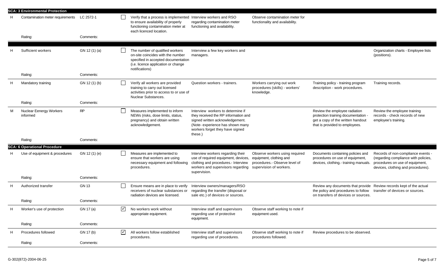|   | <b>SCA: 3 Environmental Protection</b>     |               |                                          |                                                                                                                                                                       |                                                                                                                                                                                                |                                                                                                                       |                                                                                                                                             |                                                                                                                                                     |  |  |
|---|--------------------------------------------|---------------|------------------------------------------|-----------------------------------------------------------------------------------------------------------------------------------------------------------------------|------------------------------------------------------------------------------------------------------------------------------------------------------------------------------------------------|-----------------------------------------------------------------------------------------------------------------------|---------------------------------------------------------------------------------------------------------------------------------------------|-----------------------------------------------------------------------------------------------------------------------------------------------------|--|--|
| н | Contamination meter requirements LC 2572-1 |               |                                          | Verify that a process is implemented Interview workers and RSO<br>to ensure availability of properly<br>functioning contamination meter at<br>each licenced location. | regarding contamination meter<br>functioning and availability.                                                                                                                                 | Observe contamination meter for<br>functionality and availability.                                                    |                                                                                                                                             |                                                                                                                                                     |  |  |
|   | Rating:                                    | Comments:     |                                          |                                                                                                                                                                       |                                                                                                                                                                                                |                                                                                                                       |                                                                                                                                             |                                                                                                                                                     |  |  |
|   | Sufficient workers                         | GN 12 (1) (a) |                                          | The number of qualified workers<br>on-site coincides with the number<br>specified in accepted documentation<br>(i.e. licence application or change<br>notifications)  | Interview a few key workers and<br>managers.                                                                                                                                                   |                                                                                                                       |                                                                                                                                             | Organization charts - Employee lists<br>(positions).                                                                                                |  |  |
|   | Rating:                                    | Comments:     |                                          |                                                                                                                                                                       |                                                                                                                                                                                                |                                                                                                                       |                                                                                                                                             |                                                                                                                                                     |  |  |
| Н | Mandatory training                         | GN 12 (1) (b) |                                          | Verify all workers are provided<br>training to carry out licensed<br>activities prior to access to or use of<br>Nuclear Substances.                                   | Question workers - trainers.                                                                                                                                                                   | Workers carrying out work<br>procedures (skills) - workers'<br>knowledge.                                             | Training policy - training program<br>description - work procedures.                                                                        | Training records.                                                                                                                                   |  |  |
|   | Rating:                                    | Comments:     |                                          |                                                                                                                                                                       |                                                                                                                                                                                                |                                                                                                                       |                                                                                                                                             |                                                                                                                                                     |  |  |
| м | Nuclear Eenergy Workers<br>informed        | RP            |                                          | Measures implemented to inform<br>NEWs (risks, dose limits, status,<br>pregnancy) and obtain written<br>acknowledgement.                                              | Interview workers to determine if<br>they received the RP information and<br>signed written acknowledgement.<br>(Note- experience has shown many<br>workers forget they have signed<br>these.) |                                                                                                                       | Review the employee radiation<br>protection training documentation -<br>get a copy of the written handout<br>that is provided to employees. | Review the employee training<br>records - check records of new<br>employee's training.                                                              |  |  |
|   | Rating:                                    | Comments:     |                                          |                                                                                                                                                                       |                                                                                                                                                                                                |                                                                                                                       |                                                                                                                                             |                                                                                                                                                     |  |  |
|   | <b>SCA: 6 Operational Procedure</b>        |               |                                          |                                                                                                                                                                       |                                                                                                                                                                                                |                                                                                                                       |                                                                                                                                             |                                                                                                                                                     |  |  |
| н | Use of equipment & procedures              | GN 12 (1) (e) |                                          | Measures are implemented to<br>ensure that workers are using<br>necessary equipment and following<br>procedures.                                                      | Interview workers regarding their<br>use of required equipment, devices,<br>clothing and procedures.- Interview<br>workers and supervisors regarding<br>supervision.                           | Observe workers using required<br>equipment, clothing and<br>procedures.- Observe level of<br>supervision of workers. | Documents containing policies and<br>procedures on use of equipment,<br>devices, clothing - training manuals.                               | Records of non-compliance events -<br>(regarding compliance with policies,<br>procedures on use of equipment,<br>devices, clothing and procedures). |  |  |
|   | Rating:                                    | Comments:     |                                          |                                                                                                                                                                       |                                                                                                                                                                                                |                                                                                                                       |                                                                                                                                             |                                                                                                                                                     |  |  |
| H | Authorized transfer                        | <b>GN 13</b>  |                                          | Ensure means are in place to verify<br>receivers of nuclear substances or<br>radiation devices are licensed.                                                          | Interview owners/managers/RSO<br>regarding the transfer (disposal or<br>sale etc.) of devices or sources.                                                                                      |                                                                                                                       | Review any documents that provide<br>the policy and procedures to follow<br>on transfers of devices or sources.                             | Review records kept of the actual<br>transfer of devices or sources.                                                                                |  |  |
|   | Rating:                                    | Comments:     |                                          |                                                                                                                                                                       |                                                                                                                                                                                                |                                                                                                                       |                                                                                                                                             |                                                                                                                                                     |  |  |
| H | Worker's use of protection                 | GN 17 (a)     | $\overline{\phantom{0}}$<br>$\mathbf{v}$ | No workers work without<br>appropriate equipment.                                                                                                                     | Interview staff and supervisors<br>regarding use of protective<br>equipment.                                                                                                                   | Observe staff working to note if<br>equipment used.                                                                   |                                                                                                                                             |                                                                                                                                                     |  |  |
|   | Rating:                                    | Comments:     |                                          |                                                                                                                                                                       |                                                                                                                                                                                                |                                                                                                                       |                                                                                                                                             |                                                                                                                                                     |  |  |
| H | Procedures followed                        | GN 17 (b)     | $\sqrt{}$                                | All workers follow established<br>procedures.                                                                                                                         | Interview staff and supervisors<br>regarding use of procedures.                                                                                                                                | Observe staff working to note if<br>procedures followed.                                                              | Review procedures to be observed.                                                                                                           |                                                                                                                                                     |  |  |
|   | Rating:                                    | Comments:     |                                          |                                                                                                                                                                       |                                                                                                                                                                                                |                                                                                                                       |                                                                                                                                             |                                                                                                                                                     |  |  |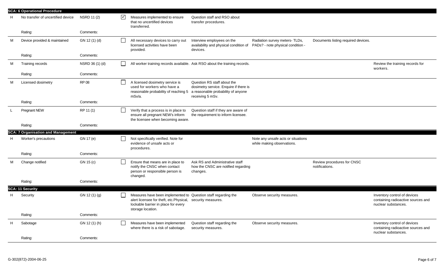|   | <b>SCA: 6 Operational Procedure</b>       |                 |                      |                                                                                                                                                                       |                                                                                                                                 |                                                                     |                                              |                                                                                           |
|---|-------------------------------------------|-----------------|----------------------|-----------------------------------------------------------------------------------------------------------------------------------------------------------------------|---------------------------------------------------------------------------------------------------------------------------------|---------------------------------------------------------------------|----------------------------------------------|-------------------------------------------------------------------------------------------|
| Н | No transfer of uncertified device         | NSRD 11 (2)     | $\blacktriangledown$ | Measures implemented to ensure<br>that no uncertified devices<br>transferred.                                                                                         | Question staff and RSO about<br>transfer procedures.                                                                            |                                                                     |                                              |                                                                                           |
|   | Rating:                                   | Comments:       |                      |                                                                                                                                                                       |                                                                                                                                 |                                                                     |                                              |                                                                                           |
| M | Device provided & maintained              | GN 12 (1) (d)   |                      | All necessary devices to carry out<br>licensed activities have been<br>provided.                                                                                      | Interview employees on the<br>availability and physical condition of<br>devices.                                                | Radiation survey meters- TLDs,<br>PADs? - note physical condition - | Documents listing required devices.          |                                                                                           |
|   | Rating:                                   | Comments:       |                      |                                                                                                                                                                       |                                                                                                                                 |                                                                     |                                              |                                                                                           |
| M | Training records                          | NSRD 36 (1) (d) |                      |                                                                                                                                                                       | All worker training records available. Ask RSO about the training records.                                                      |                                                                     |                                              | Review the training records for<br>workers.                                               |
|   | Rating:                                   | Comments:       |                      |                                                                                                                                                                       |                                                                                                                                 |                                                                     |                                              |                                                                                           |
| м | Licensed dosimetry                        | RP 08           |                      | A licensed dosimetry service is<br>used for workers who have a<br>reasonable probability of reaching 5<br>mSv/a.                                                      | Question RS staff about the<br>dosimetry service. Enquire if there is<br>a reasonable probability of anyone<br>receiving 5 mSv. |                                                                     |                                              |                                                                                           |
|   | Rating:                                   | Comments:       |                      |                                                                                                                                                                       |                                                                                                                                 |                                                                     |                                              |                                                                                           |
|   | Pregnant NEW                              | RP 11 (1)       |                      | Verify that a process is in place to<br>ensure all pregnant NEW's inform<br>the licensee when becoming aware.                                                         | Question staff if they are aware of<br>the requirement to inform licensee.                                                      |                                                                     |                                              |                                                                                           |
|   | Rating:                                   | Comments:       |                      |                                                                                                                                                                       |                                                                                                                                 |                                                                     |                                              |                                                                                           |
|   | <b>SCA: 7 Organisation and Management</b> |                 |                      |                                                                                                                                                                       |                                                                                                                                 |                                                                     |                                              |                                                                                           |
| H | Worker's precautions                      | GN 17 (e)       |                      | Not specifically verified. Note for<br>evidence of unsafe acts or<br>procedures.                                                                                      |                                                                                                                                 | Note any unsafe acts or situations<br>while making observations.    |                                              |                                                                                           |
|   | Rating:                                   | Comments:       |                      |                                                                                                                                                                       |                                                                                                                                 |                                                                     |                                              |                                                                                           |
| м | Change notified                           | GN 15 (c)       |                      | Ensure that means are in place to<br>notify the CNSC when contact<br>person or responsible person is<br>changed.                                                      | Ask RS and Administrative staff<br>how the CNSC are notified regarding<br>changes.                                              |                                                                     | Review procedures for CNSC<br>notifications. |                                                                                           |
|   | Rating:                                   | Comments:       |                      |                                                                                                                                                                       |                                                                                                                                 |                                                                     |                                              |                                                                                           |
|   | <b>SCA: 11 Security</b>                   |                 |                      |                                                                                                                                                                       |                                                                                                                                 |                                                                     |                                              |                                                                                           |
|   | Security                                  | GN 12 (1) (g)   |                      | Measures have been implemented to Question staff regarding the<br>alert licensee for theft, etc.Physical,<br>lockable barrier in place for every<br>storage location. | security measures.                                                                                                              | Observe security measures.                                          |                                              | Inventory control of devices<br>containing radioactive sources and<br>nuclear substances. |
|   | Rating:                                   | Comments:       |                      |                                                                                                                                                                       |                                                                                                                                 |                                                                     |                                              |                                                                                           |
| H | Sabotage                                  | GN 12 (1) (h)   |                      | Measures have been implemented<br>where there is a risk of sabotage.                                                                                                  | Question staff regarding the<br>security measures.                                                                              | Observe security measures.                                          |                                              | Inventory control of devices<br>containing radioactive sources and<br>nuclear substances. |
|   | Rating:                                   | Comments:       |                      |                                                                                                                                                                       |                                                                                                                                 |                                                                     |                                              |                                                                                           |